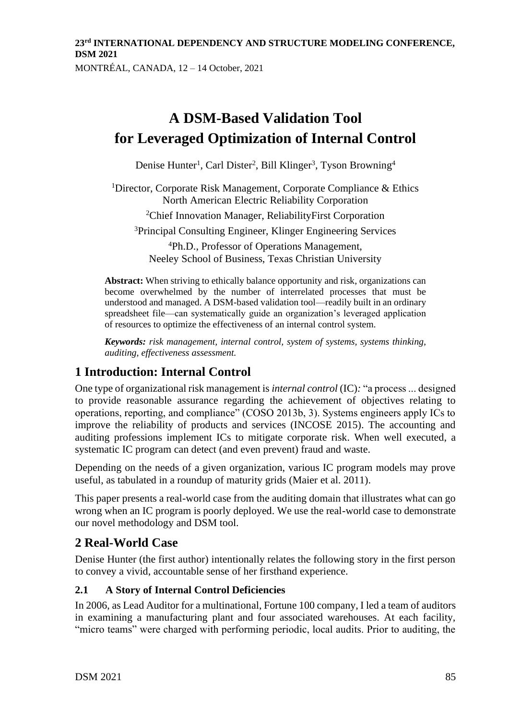## **23rd INTERNATIONAL DEPENDENCY AND STRUCTURE MODELING CONFERENCE, DSM 2021**

MONTRÉAL, CANADA, 12 – 14 October, 2021

# **A DSM-Based Validation Tool for Leveraged Optimization of Internal Control**

Denise Hunter<sup>1</sup>, Carl Dister<sup>2</sup>, Bill Klinger<sup>3</sup>, Tyson Browning<sup>4</sup>

<sup>1</sup>Director, Corporate Risk Management, Corporate Compliance  $\&$  Ethics North American Electric Reliability Corporation

<sup>2</sup>Chief Innovation Manager, ReliabilityFirst Corporation

<sup>3</sup>Principal Consulting Engineer, Klinger Engineering Services

<sup>4</sup>Ph.D., Professor of Operations Management, Neeley School of Business, Texas Christian University

**Abstract:** When striving to ethically balance opportunity and risk, organizations can become overwhelmed by the number of interrelated processes that must be understood and managed. A DSM-based validation tool—readily built in an ordinary spreadsheet file—can systematically guide an organization's leveraged application of resources to optimize the effectiveness of an internal control system.

*Keywords: risk management, internal control, system of systems, systems thinking, auditing, effectiveness assessment.*

### **1 Introduction: Internal Control**

One type of organizational risk management is *internal control* (IC)*:* "a process ... designed to provide reasonable assurance regarding the achievement of objectives relating to operations, reporting, and compliance" (COSO 2013b, 3). Systems engineers apply ICs to improve the reliability of products and services (INCOSE 2015). The accounting and auditing professions implement ICs to mitigate corporate risk. When well executed, a systematic IC program can detect (and even prevent) fraud and waste.

Depending on the needs of a given organization, various IC program models may prove useful, as tabulated in a roundup of maturity grids (Maier et al. 2011).

This paper presents a real-world case from the auditing domain that illustrates what can go wrong when an IC program is poorly deployed. We use the real-world case to demonstrate our novel methodology and DSM tool.

### **2 Real-World Case**

Denise Hunter (the first author) intentionally relates the following story in the first person to convey a vivid, accountable sense of her firsthand experience.

### **2.1 A Story of Internal Control Deficiencies**

In 2006, as Lead Auditor for a multinational, Fortune 100 company, I led a team of auditors in examining a manufacturing plant and four associated warehouses. At each facility, "micro teams" were charged with performing periodic, local audits. Prior to auditing, the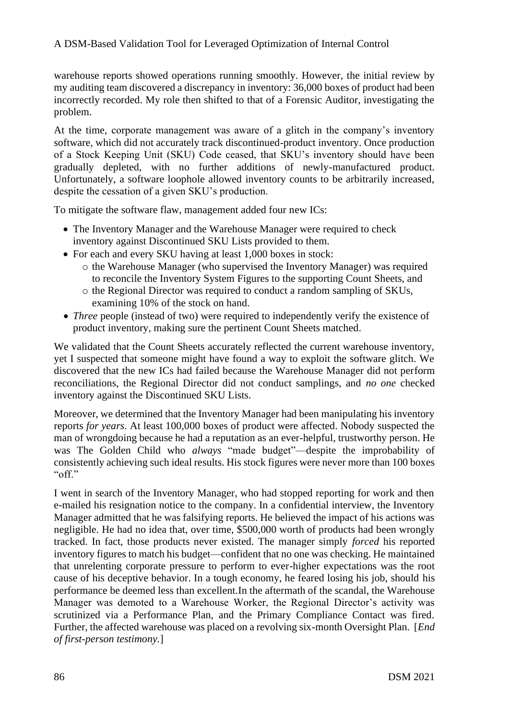#### A DSM-Based Validation Tool for Leveraged Optimization of Internal Control

warehouse reports showed operations running smoothly. However, the initial review by my auditing team discovered a discrepancy in inventory: 36,000 boxes of product had been incorrectly recorded. My role then shifted to that of a Forensic Auditor, investigating the problem.

At the time, corporate management was aware of a glitch in the company's inventory software, which did not accurately track discontinued-product inventory. Once production of a Stock Keeping Unit (SKU) Code ceased, that SKU's inventory should have been gradually depleted, with no further additions of newly-manufactured product. Unfortunately, a software loophole allowed inventory counts to be arbitrarily increased, despite the cessation of a given SKU's production.

To mitigate the software flaw, management added four new ICs:

- The Inventory Manager and the Warehouse Manager were required to check inventory against Discontinued SKU Lists provided to them.
- For each and every SKU having at least 1,000 boxes in stock:
	- o the Warehouse Manager (who supervised the Inventory Manager) was required to reconcile the Inventory System Figures to the supporting Count Sheets, and
	- o the Regional Director was required to conduct a random sampling of SKUs, examining 10% of the stock on hand.
- *Three* people (instead of two) were required to independently verify the existence of product inventory, making sure the pertinent Count Sheets matched.

We validated that the Count Sheets accurately reflected the current warehouse inventory, yet I suspected that someone might have found a way to exploit the software glitch. We discovered that the new ICs had failed because the Warehouse Manager did not perform reconciliations, the Regional Director did not conduct samplings, and *no one* checked inventory against the Discontinued SKU Lists.

Moreover, we determined that the Inventory Manager had been manipulating his inventory reports *for years*. At least 100,000 boxes of product were affected. Nobody suspected the man of wrongdoing because he had a reputation as an ever-helpful, trustworthy person. He was The Golden Child who *always* "made budget"—despite the improbability of consistently achieving such ideal results. His stock figures were never more than 100 boxes "off."

I went in search of the Inventory Manager, who had stopped reporting for work and then e-mailed his resignation notice to the company. In a confidential interview, the Inventory Manager admitted that he was falsifying reports. He believed the impact of his actions was negligible. He had no idea that, over time, \$500,000 worth of products had been wrongly tracked. In fact, those products never existed. The manager simply *forced* his reported inventory figures to match his budget—confident that no one was checking. He maintained that unrelenting corporate pressure to perform to ever-higher expectations was the root cause of his deceptive behavior. In a tough economy, he feared losing his job, should his performance be deemed less than excellent.In the aftermath of the scandal, the Warehouse Manager was demoted to a Warehouse Worker, the Regional Director's activity was scrutinized via a Performance Plan, and the Primary Compliance Contact was fired. Further, the affected warehouse was placed on a revolving six-month Oversight Plan. [*End of first-person testimony.*]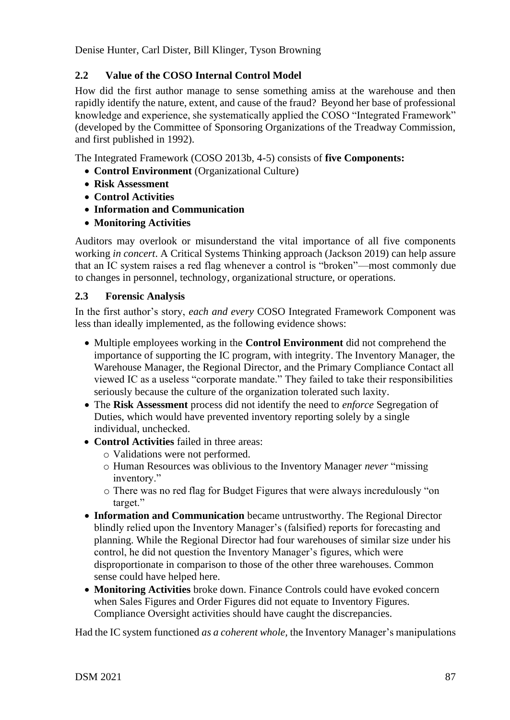#### **2.2 Value of the COSO Internal Control Model**

How did the first author manage to sense something amiss at the warehouse and then rapidly identify the nature, extent, and cause of the fraud? Beyond her base of professional knowledge and experience, she systematically applied the COSO "Integrated Framework" (developed by the Committee of Sponsoring Organizations of the Treadway Commission, and first published in 1992).

The Integrated Framework (COSO 2013b, 4-5) consists of **five Components:**

- **Control Environment** (Organizational Culture)
- **Risk Assessment**
- **Control Activities**
- **Information and Communication**
- **Monitoring Activities**

Auditors may overlook or misunderstand the vital importance of all five components working *in concert*. A Critical Systems Thinking approach (Jackson 2019) can help assure that an IC system raises a red flag whenever a control is "broken"—most commonly due to changes in personnel, technology, organizational structure, or operations.

#### **2.3 Forensic Analysis**

In the first author's story, *each and every* COSO Integrated Framework Component was less than ideally implemented, as the following evidence shows:

- Multiple employees working in the **Control Environment** did not comprehend the importance of supporting the IC program, with integrity. The Inventory Manager, the Warehouse Manager, the Regional Director, and the Primary Compliance Contact all viewed IC as a useless "corporate mandate." They failed to take their responsibilities seriously because the culture of the organization tolerated such laxity.
- The **Risk Assessment** process did not identify the need to *enforce* Segregation of Duties, which would have prevented inventory reporting solely by a single individual, unchecked.
- **Control Activities** failed in three areas:
	- o Validations were not performed.
	- o Human Resources was oblivious to the Inventory Manager *never* "missing inventory."
	- o There was no red flag for Budget Figures that were always incredulously "on target."
- **Information and Communication** became untrustworthy. The Regional Director blindly relied upon the Inventory Manager's (falsified) reports for forecasting and planning. While the Regional Director had four warehouses of similar size under his control, he did not question the Inventory Manager's figures, which were disproportionate in comparison to those of the other three warehouses. Common sense could have helped here.
- **Monitoring Activities** broke down. Finance Controls could have evoked concern when Sales Figures and Order Figures did not equate to Inventory Figures. Compliance Oversight activities should have caught the discrepancies.

Had the IC system functioned *as a coherent whole,* the Inventory Manager's manipulations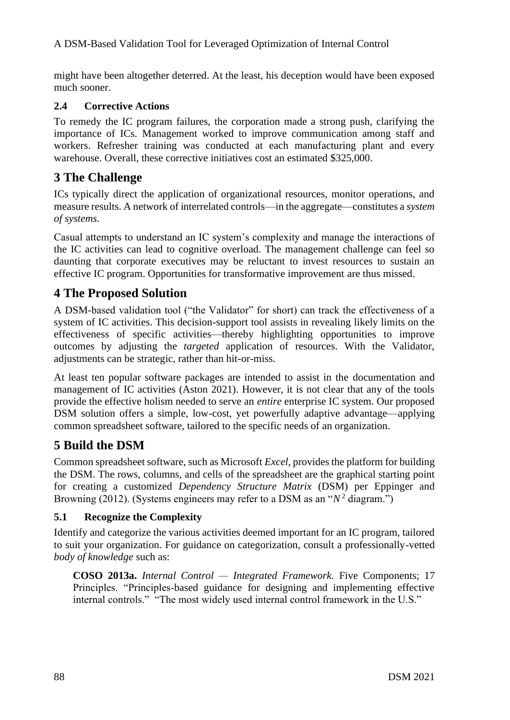#### A DSM-Based Validation Tool for Leveraged Optimization of Internal Control

might have been altogether deterred. At the least, his deception would have been exposed much sooner.

#### **2.4 Corrective Actions**

To remedy the IC program failures, the corporation made a strong push, clarifying the importance of ICs. Management worked to improve communication among staff and workers. Refresher training was conducted at each manufacturing plant and every warehouse. Overall, these corrective initiatives cost an estimated \$325,000.

### **3 The Challenge**

ICs typically direct the application of organizational resources, monitor operations, and measure results. A network of interrelated controls—in the aggregate—constitutes a *system of systems*.

Casual attempts to understand an IC system's complexity and manage the interactions of the IC activities can lead to cognitive overload. The management challenge can feel so daunting that corporate executives may be reluctant to invest resources to sustain an effective IC program. Opportunities for transformative improvement are thus missed.

### **4 The Proposed Solution**

A DSM-based validation tool ("the Validator" for short) can track the effectiveness of a system of IC activities. This decision-support tool assists in revealing likely limits on the effectiveness of specific activities—thereby highlighting opportunities to improve outcomes by adjusting the *targeted* application of resources. With the Validator, adjustments can be strategic, rather than hit-or-miss.

At least ten popular software packages are intended to assist in the documentation and management of IC activities (Aston 2021). However, it is not clear that any of the tools provide the effective holism needed to serve an *entire* enterprise IC system. Our proposed DSM solution offers a simple, low-cost, yet powerfully adaptive advantage—applying common spreadsheet software, tailored to the specific needs of an organization.

### **5 Build the DSM**

Common spreadsheet software, such as Microsoft *Excel,* provides the platform for building the DSM. The rows, columns, and cells of the spreadsheet are the graphical starting point for creating a customized *Dependency Structure Matrix* (DSM) per Eppinger and Browning (2012). (Systems engineers may refer to a DSM as an "*N* <sup>2</sup> diagram.")

#### **5.1 Recognize the Complexity**

Identify and categorize the various activities deemed important for an IC program, tailored to suit your organization. For guidance on categorization, consult a professionally-vetted *body of knowledge* such as:

**COSO 2013a.** *Internal Control — Integrated Framework.* Five Components; 17 Principles. "Principles-based guidance for designing and implementing effective internal controls." "The most widely used internal control framework in the U.S."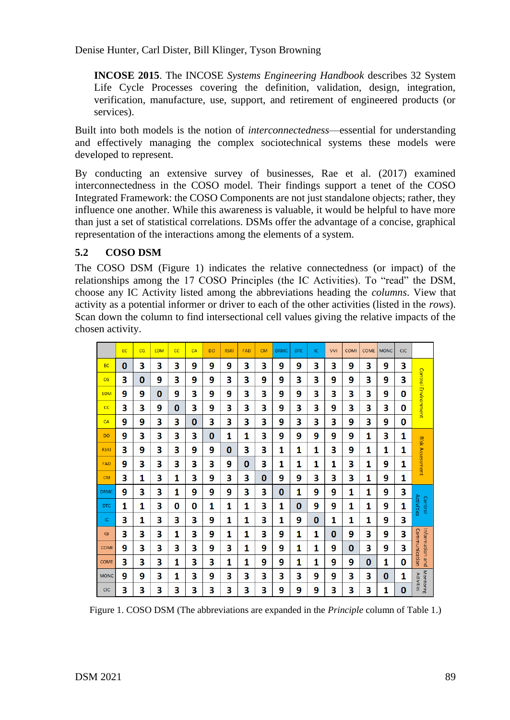**INCOSE 2015**. The INCOSE *Systems Engineering Handbook* describes 32 System Life Cycle Processes covering the definition, validation, design, integration, verification, manufacture, use, support, and retirement of engineered products (or services).

Built into both models is the notion of *interconnectedness*—essential for understanding and effectively managing the complex sociotechnical systems these models were developed to represent.

By conducting an extensive survey of businesses, Rae et al. (2017) examined interconnectedness in the COSO model. Their findings support a tenet of the COSO Integrated Framework: the COSO Components are not just standalone objects; rather, they influence one another. While this awareness is valuable, it would be helpful to have more than just a set of statistical correlations. DSMs offer the advantage of a concise, graphical representation of the interactions among the elements of a system.

#### **5.2 COSO DSM**

The COSO DSM (Figure 1) indicates the relative connectedness (or impact) of the relationships among the 17 COSO Principles (the IC Activities). To "read" the DSM, choose any IC Activity listed among the abbreviations heading the *columns*. View that activity as a potential informer or driver to each of the other activities (listed in the *rows*). Scan down the column to find intersectional cell values giving the relative impacts of the chosen activity.

|             | EC | C <sub>G</sub> | <b>EDM</b> | cc | CA | DO | <b>RSKI</b> | <b>FAD</b> | <b>CM</b> | <b>DRMC</b> | <b>DTC</b> | IC | <b>VVI</b> | <b>COMI</b> | COME | <b>MONC</b> | <b>CIC</b> |                                  |
|-------------|----|----------------|------------|----|----|----|-------------|------------|-----------|-------------|------------|----|------------|-------------|------|-------------|------------|----------------------------------|
| EC          | 0  | 3              | 3          | 3  | 9  | 9  | 9           | 3          | 3         | 9           | 9          | 3  | 3          | 9           | 3    | 9           | 3          |                                  |
| CG          | 3  | 0              | 9          | 3  | 9  | 9  | 3           | 3          | 9         | 9           | з          | 3  | 9          | 9           | 3    | 9           | 3          | <b>Control Environment</b>       |
| <b>EDM</b>  | 9  | 9              | O          | 9  | 3  | 9  | 9           | 3          | 3         | 9           | 9          | 3  | 3          | 3           | 3    | 9           | 0          |                                  |
| cc          | 3  | 3              | 9          | 0  | 3  | 9  | 3           | 3          | 3         | 9           | 3          | 3  | 9          | 3           | 3    | 3           | 0          |                                  |
| CA          | 9  | 9              | 3          | 3  | 0  | 3  | 3           | 3          | 3         | 9           | 3          | 3  | 3          | 9           | 3    | 9           | 0          |                                  |
| <b>DO</b>   | 9  | 3              | 3          | 3  | 3  | 0  | 1           | 1          | 3         | 9           | 9          | 9  | 9          | 9           | 1    | 3           | 1          |                                  |
| <b>RSKI</b> | 3  | 9              | 3          | 3  | 9  | 9  | 0           | 3          | 3         | 1           | 1          | 1  | 3          | 9           | 1    | 1           | 1          | <b>Risk Assessment</b>           |
| <b>FAD</b>  | 9  | 3              | 3          | 3  | 3  | 3  | 9           | 0          | 3         | 1           | 1          | 1  | 1          | 3           | 1    | 9           | 1          |                                  |
| <b>CM</b>   | 3  | 1              | 3          | 1  | 3  | 9  | 3           | 3          | 0         | 9           | 9          | 3  | 3          | 3           | 1    | 9           | 1          |                                  |
| <b>DRMC</b> | 9  | 3              | 3          | 1  | 9  | 9  | 9           | 3          | 3         | 0           | 1          | 9  | 9          | 1           | 1    | 9           | 3          |                                  |
| <b>DTC</b>  | 1  | 1              | 3          | 0  | 0  | 1  | 1           | 1          | 3         | 1           | 0          | 9  | 9          | 1           | 1    | 9           | 1          | Activities<br>Control            |
| IC.         | 3  | 1              | 3          | 3  | 3  | 9  | 1           | 1          | 3         | 1           | 9          | 0  | 1          | 1           | 1    | 9           | 3          |                                  |
| QI          | 3  | 3              | 3          | 1  | 3  | 9  | 1           | 1          | 3         | 9           | 1          | 1  | 0          | 9           | 3    | 9           | 3          |                                  |
| <b>COMI</b> | 9  | 3              | 3          | 3  | 3  | 9  | 3           | 1          | 9         | 9           | 1          | 1  | 9          | 0           | 3    | 9           | 3          | Information and<br>Communication |
| <b>COME</b> | 3  | 3              | 3          | 1  | 3  | 3  | 1           | 1          | 9         | 9           | 1          | 1  | 9          | 9           | 0    | 1           | 0          |                                  |
| <b>MONC</b> | 9  | 9              | 3          | 1  | 3  | 9  | 3           | 3          | 3         | 3           | з          | 9  | 9          | 3           | з    | 0           | 1          | Monitoring<br>Activities         |
| <b>CIC</b>  | 3  | 3              | 3          | 3  | 3  | 3  | 3           | 3          | 3         | 9           | 9          | 9  | 3          | 3           | 3    | 1           | 0          |                                  |

Figure 1. COSO DSM (The abbreviations are expanded in the *Principle* column of Table 1.)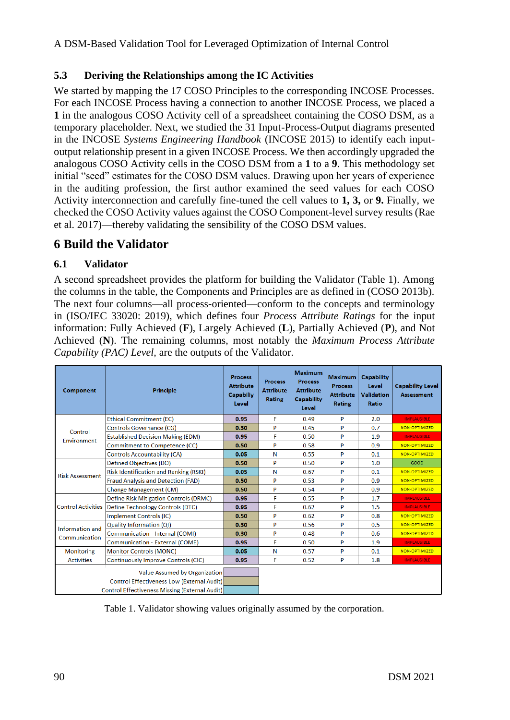#### **5.3 Deriving the Relationships among the IC Activities**

We started by mapping the 17 COSO Principles to the corresponding INCOSE Processes. For each INCOSE Process having a connection to another INCOSE Process, we placed a **1** in the analogous COSO Activity cell of a spreadsheet containing the COSO DSM, as a temporary placeholder. Next, we studied the 31 Input-Process-Output diagrams presented in the INCOSE *Systems Engineering Handbook* (INCOSE 2015) to identify each inputoutput relationship present in a given INCOSE Process. We then accordingly upgraded the analogous COSO Activity cells in the COSO DSM from a **1** to a **9**. This methodology set initial "seed" estimates for the COSO DSM values. Drawing upon her years of experience in the auditing profession, the first author examined the seed values for each COSO Activity interconnection and carefully fine-tuned the cell values to **1, 3,** or **9.** Finally, we checked the COSO Activity values against the COSO Component-level survey results (Rae et al. 2017)—thereby validating the sensibility of the COSO DSM values.

## **6 Build the Validator**

#### **6.1 Validator**

A second spreadsheet provides the platform for building the Validator (Table 1). Among the columns in the table, the Components and Principles are as defined in (COSO 2013b). The next four columns—all process-oriented—conform to the concepts and terminology in (ISO/IEC 33020: 2019), which defines four *Process Attribute Ratings* for the input information: Fully Achieved (**F**), Largely Achieved (**L**), Partially Achieved (**P**), and Not Achieved (**N**). The remaining columns, most notably the *Maximum Process Attribute Capability (PAC) Level,* are the outputs of the Validator.

| Component                                             | <b>Principle</b>                                                            | <b>Process</b><br><b>Attribute</b><br>Capabiliy<br>Level | <b>Process</b><br><b>Attribute</b><br><b>Rating</b> | <b>Maximum</b><br><b>Process</b><br><b>Attribute</b><br><b>Capability</b><br>Level | <b>Maximum</b><br><b>Process</b><br><b>Attribute</b><br><b>Rating</b> | <b>Capability</b><br>Level<br><b>Validation</b><br>Ratio | <b>Capability Level</b><br><b>Assessment</b> |
|-------------------------------------------------------|-----------------------------------------------------------------------------|----------------------------------------------------------|-----------------------------------------------------|------------------------------------------------------------------------------------|-----------------------------------------------------------------------|----------------------------------------------------------|----------------------------------------------|
|                                                       | <b>Ethical Commitment (EC)</b>                                              | 0.95                                                     | F                                                   | 0.49                                                                               | P                                                                     | 2.0                                                      | <b>IMPLAUSIBLE</b>                           |
| Control                                               | Controls Governance (CG)                                                    | 0.30                                                     | P                                                   | 0.45                                                                               | P                                                                     | 0.7                                                      | NON-OPTIMIZED                                |
| Environment                                           | <b>Established Decision Making (EDM)</b>                                    | 0.95                                                     | F                                                   | 0.50                                                                               | P                                                                     | 1.9                                                      | <b>IMPLAUSIBLE</b>                           |
|                                                       | Commitment to Competence (CC)                                               | 0.50                                                     | P                                                   | 0.58                                                                               | p                                                                     | 0.9                                                      | NON-OPTIMIZED                                |
|                                                       | <b>Controls Accountability (CA)</b>                                         | 0.05                                                     | N                                                   | 0.55                                                                               | P                                                                     | 0.1                                                      | NON-OPTIMIZED                                |
|                                                       | <b>Defined Obiectives (DO)</b>                                              | 0.50                                                     | P                                                   | 0.50                                                                               | P                                                                     | 1.0                                                      | GOOD                                         |
| <b>Risk Assessment</b>                                | <b>Risk Identification and Ranking (RSKI)</b>                               | 0.05                                                     | N                                                   | 0.67                                                                               | P                                                                     | 0.1                                                      | NON-OPTIMIZED                                |
|                                                       | Fraud Analysis and Detection (FAD)                                          | 0.50                                                     | P                                                   | 0.53                                                                               | p                                                                     | 0.9                                                      | NON-OPTIMIZED                                |
|                                                       | <b>Change Management (CM)</b>                                               | 0.50                                                     | P                                                   | 0.54                                                                               | P                                                                     | 0.9                                                      | NON-OPTIMIZED                                |
|                                                       | <b>Define Risk Mitigation Controls (DRMC)</b>                               | 0.95                                                     | F                                                   | 0.55                                                                               | P                                                                     | 1.7                                                      | <b>IMPLAUSIBLE</b>                           |
| <b>Control Activities</b>                             | Define Technology Controls (DTC)                                            | 0.95                                                     | F                                                   | 0.62                                                                               | P                                                                     | 1.5                                                      | <b>IMPLAUSIBLE</b>                           |
|                                                       | Implement Controls (IC)                                                     | 0.50                                                     | p                                                   | 0.62                                                                               | p                                                                     | 0.8                                                      | NON-OPTIMIZED                                |
| <b>Information and</b>                                | <b>Quality Information (QI)</b>                                             | 0.30                                                     | p                                                   | 0.56                                                                               | Þ                                                                     | 0.5                                                      | NON-OPTIMIZED                                |
| Communication                                         | Communication - Internal (COMI)                                             | 0.30                                                     | P                                                   | 0.48                                                                               | Þ                                                                     | 0.6                                                      | NON-OPTIMIZED                                |
|                                                       | Communication - External (COME)                                             | 0.95                                                     | F                                                   | 0.50                                                                               | P                                                                     | 1.9                                                      | <b>IMPLAUSIBLE</b>                           |
| <b>Monitoring</b>                                     | <b>Monitor Controls (MONC)</b>                                              | 0.05                                                     | N                                                   | 0.57                                                                               | P                                                                     | 0.1                                                      | NON-OPTIMIZED                                |
| <b>Activities</b>                                     | <b>Continuously Improve Controls (CIC)</b>                                  | 0.95                                                     | F                                                   | 0.52                                                                               | P                                                                     | 1.8                                                      | <b>IMPLAUSIBLE</b>                           |
| <b>Control Effectiveness Missing (External Audit)</b> | Value Assumed by Organization<br>Control Effectiveness Low (External Audit) |                                                          |                                                     |                                                                                    |                                                                       |                                                          |                                              |

Table 1. Validator showing values originally assumed by the corporation.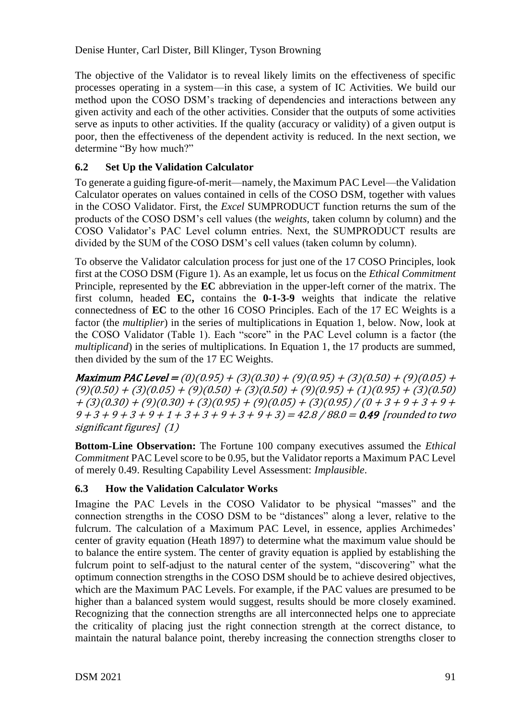The objective of the Validator is to reveal likely limits on the effectiveness of specific processes operating in a system—in this case, a system of IC Activities. We build our method upon the COSO DSM's tracking of dependencies and interactions between any given activity and each of the other activities. Consider that the outputs of some activities serve as inputs to other activities. If the quality (accuracy or validity) of a given output is poor, then the effectiveness of the dependent activity is reduced. In the next section, we determine "By how much?"

#### **6.2 Set Up the Validation Calculator**

To generate a guiding figure-of-merit—namely, the Maximum PAC Level—the Validation Calculator operates on values contained in cells of the COSO DSM, together with values in the COSO Validator. First, the *Excel* SUMPRODUCT function returns the sum of the products of the COSO DSM's cell values (the *weights,* taken column by column) and the COSO Validator's PAC Level column entries. Next, the SUMPRODUCT results are divided by the SUM of the COSO DSM's cell values (taken column by column).

To observe the Validator calculation process for just one of the 17 COSO Principles, look first at the COSO DSM (Figure 1). As an example, let us focus on the *Ethical Commitment* Principle, represented by the **EC** abbreviation in the upper-left corner of the matrix. The first column, headed **EC,** contains the **0-1-3-9** weights that indicate the relative connectedness of **EC** to the other 16 COSO Principles. Each of the 17 EC Weights is a factor (the *multiplier*) in the series of multiplications in Equation 1, below. Now, look at the COSO Validator (Table 1). Each "score" in the PAC Level column is a factor (the *multiplicand*) in the series of multiplications. In Equation 1, the 17 products are summed, then divided by the sum of the 17 EC Weights.

Maximum PAC Level =  $(0)(0.95) + (3)(0.30) + (9)(0.95) + (3)(0.50) + (9)(0.05) +$  $(9)(0.50) + (3)(0.05) + (9)(0.50) + (3)(0.50) + (9)(0.95) + (1)(0.95) + (3)(0.50)$  $+(3)(0.30)+(9)(0.30)+(3)(0.95)+(9)(0.05)+(3)(0.95)/(0.95)$  $9 + 3 + 9 + 3 + 9 + 1 + 3 + 3 + 9 + 3 + 9 + 3$  = 42.8 / 88.0 = 0.49 [rounded to two significant figures] (1)

**Bottom-Line Observation:** The Fortune 100 company executives assumed the *Ethical Commitment* PAC Level score to be 0.95, but the Validator reports a Maximum PAC Level of merely 0.49. Resulting Capability Level Assessment: *Implausible*.

#### **6.3 How the Validation Calculator Works**

Imagine the PAC Levels in the COSO Validator to be physical "masses" and the connection strengths in the COSO DSM to be "distances" along a lever, relative to the fulcrum. The calculation of a Maximum PAC Level, in essence, applies Archimedes' center of gravity equation (Heath 1897) to determine what the maximum value should be to balance the entire system. The center of gravity equation is applied by establishing the fulcrum point to self-adjust to the natural center of the system, "discovering" what the optimum connection strengths in the COSO DSM should be to achieve desired objectives, which are the Maximum PAC Levels. For example, if the PAC values are presumed to be higher than a balanced system would suggest, results should be more closely examined. Recognizing that the connection strengths are all interconnected helps one to appreciate the criticality of placing just the right connection strength at the correct distance, to maintain the natural balance point, thereby increasing the connection strengths closer to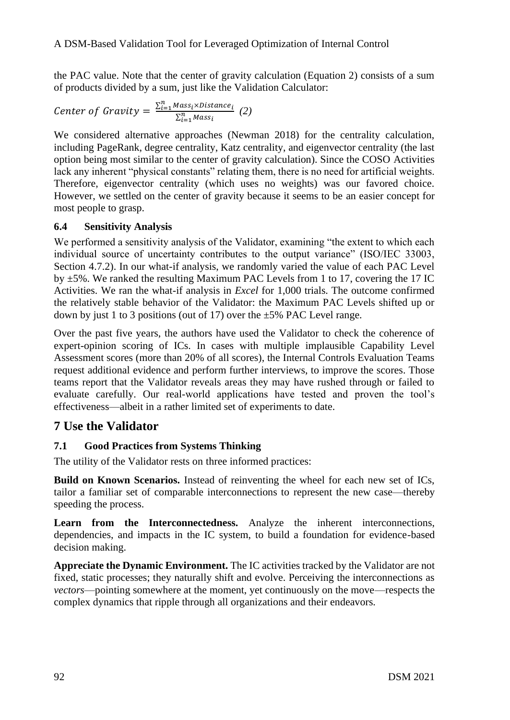the PAC value. Note that the center of gravity calculation (Equation 2) consists of a sum of products divided by a sum, just like the Validation Calculator:

$$
Center\ of\ Gravity = \frac{\sum_{i=1}^{n} Mass_i \times Distance_i}{\sum_{i=1}^{n} Mass_i}
$$
 (2)

We considered alternative approaches (Newman 2018) for the centrality calculation, including PageRank, degree centrality, Katz centrality, and eigenvector centrality (the last option being most similar to the center of gravity calculation). Since the COSO Activities lack any inherent "physical constants" relating them, there is no need for artificial weights. Therefore, eigenvector centrality (which uses no weights) was our favored choice. However, we settled on the center of gravity because it seems to be an easier concept for most people to grasp.

#### **6.4 Sensitivity Analysis**

We performed a sensitivity analysis of the Validator, examining "the extent to which each individual source of uncertainty contributes to the output variance" (ISO/IEC 33003, Section 4.7.2). In our what-if analysis, we randomly varied the value of each PAC Level by ±5%. We ranked the resulting Maximum PAC Levels from 1 to 17, covering the 17 IC Activities. We ran the what-if analysis in *Excel* for 1,000 trials. The outcome confirmed the relatively stable behavior of the Validator: the Maximum PAC Levels shifted up or down by just 1 to 3 positions (out of 17) over the  $\pm$ 5% PAC Level range.

Over the past five years, the authors have used the Validator to check the coherence of expert-opinion scoring of ICs. In cases with multiple implausible Capability Level Assessment scores (more than 20% of all scores), the Internal Controls Evaluation Teams request additional evidence and perform further interviews, to improve the scores. Those teams report that the Validator reveals areas they may have rushed through or failed to evaluate carefully. Our real-world applications have tested and proven the tool's effectiveness—albeit in a rather limited set of experiments to date.

### **7 Use the Validator**

#### **7.1 Good Practices from Systems Thinking**

The utility of the Validator rests on three informed practices:

**Build on Known Scenarios.** Instead of reinventing the wheel for each new set of ICs, tailor a familiar set of comparable interconnections to represent the new case—thereby speeding the process.

**Learn from the Interconnectedness.** Analyze the inherent interconnections, dependencies, and impacts in the IC system, to build a foundation for evidence-based decision making.

**Appreciate the Dynamic Environment.** The IC activities tracked by the Validator are not fixed, static processes; they naturally shift and evolve. Perceiving the interconnections as *vectors*—pointing somewhere at the moment, yet continuously on the move—respects the complex dynamics that ripple through all organizations and their endeavors.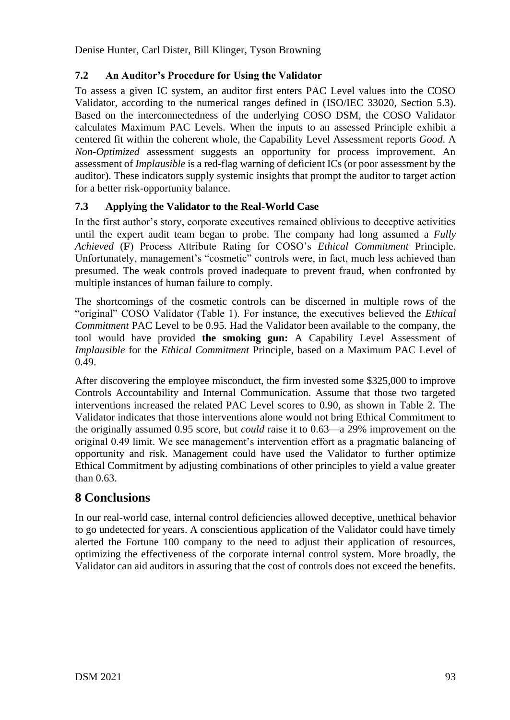#### **7.2 An Auditor's Procedure for Using the Validator**

To assess a given IC system, an auditor first enters PAC Level values into the COSO Validator, according to the numerical ranges defined in (ISO/IEC 33020, Section 5.3). Based on the interconnectedness of the underlying COSO DSM, the COSO Validator calculates Maximum PAC Levels. When the inputs to an assessed Principle exhibit a centered fit within the coherent whole, the Capability Level Assessment reports *Good*. A *Non-Optimized* assessment suggests an opportunity for process improvement. An assessment of *Implausible* is a red-flag warning of deficient ICs (or poor assessment by the auditor). These indicators supply systemic insights that prompt the auditor to target action for a better risk-opportunity balance.

#### **7.3 Applying the Validator to the Real-World Case**

In the first author's story, corporate executives remained oblivious to deceptive activities until the expert audit team began to probe. The company had long assumed a *Fully Achieved* (**F**) Process Attribute Rating for COSO's *Ethical Commitment* Principle. Unfortunately, management's "cosmetic" controls were, in fact, much less achieved than presumed. The weak controls proved inadequate to prevent fraud, when confronted by multiple instances of human failure to comply.

The shortcomings of the cosmetic controls can be discerned in multiple rows of the "original" COSO Validator (Table 1). For instance, the executives believed the *Ethical Commitment* PAC Level to be 0.95. Had the Validator been available to the company, the tool would have provided **the smoking gun:** A Capability Level Assessment of *Implausible* for the *Ethical Commitment* Principle, based on a Maximum PAC Level of 0.49.

After discovering the employee misconduct, the firm invested some \$325,000 to improve Controls Accountability and Internal Communication. Assume that those two targeted interventions increased the related PAC Level scores to 0.90, as shown in Table 2. The Validator indicates that those interventions alone would not bring Ethical Commitment to the originally assumed 0.95 score, but *could* raise it to 0.63—a 29% improvement on the original 0.49 limit. We see management's intervention effort as a pragmatic balancing of opportunity and risk. Management could have used the Validator to further optimize Ethical Commitment by adjusting combinations of other principles to yield a value greater than  $0.63$ 

## **8 Conclusions**

In our real-world case, internal control deficiencies allowed deceptive, unethical behavior to go undetected for years. A conscientious application of the Validator could have timely alerted the Fortune 100 company to the need to adjust their application of resources, optimizing the effectiveness of the corporate internal control system. More broadly, the Validator can aid auditors in assuring that the cost of controls does not exceed the benefits.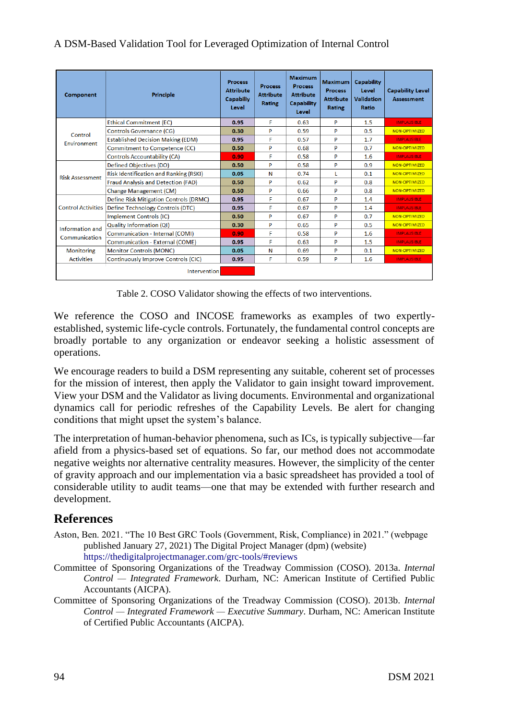#### A DSM-Based Validation Tool for Leveraged Optimization of Internal Control

| Component                 | Principle                                     |      | <b>Process</b><br><b>Attribute</b><br>Rating | <b>Maximum</b><br><b>Process</b><br><b>Attribute</b><br>Capability<br>Level | <b>Maximum</b><br><b>Process</b><br><b>Attribute</b><br>Rating | Capability<br>Level<br>Validation<br>Ratio | <b>Capability Level</b><br><b>Assessment</b> |  |  |
|---------------------------|-----------------------------------------------|------|----------------------------------------------|-----------------------------------------------------------------------------|----------------------------------------------------------------|--------------------------------------------|----------------------------------------------|--|--|
|                           | <b>Ethical Commitment (EC)</b>                | 0.95 | F                                            | 0.63                                                                        | P                                                              | 1.5                                        | <b>IMPLAUSIBLE</b>                           |  |  |
| Control                   | <b>Controls Governance (CG)</b>               | 0.30 | P                                            | 0.59                                                                        | p                                                              | 0.5                                        | NON-OPTIMIZED                                |  |  |
| Environment               | <b>Established Decision Making (EDM)</b>      | 0.95 | Е                                            | 0.57                                                                        | p                                                              | 1.7                                        | <b>IMPLAUSIBLE</b>                           |  |  |
|                           | Commitment to Competence (CC)                 | 0.50 | P                                            | 0.68                                                                        | P                                                              | 0.7                                        | NON-OPTIMIZED                                |  |  |
|                           | <b>Controls Accountability (CA)</b>           | 0.90 | F                                            | 0.58                                                                        | p                                                              | 1.6                                        | <b>IMPLAUSIBLE</b>                           |  |  |
|                           | Defined Objectives (DO)                       | 0.50 | P                                            | 0.58                                                                        | P                                                              | 0.9                                        | NON-OPTIMIZED                                |  |  |
| <b>Risk Assessment</b>    | <b>Risk Identification and Ranking (RSKI)</b> | 0.05 | N                                            | 0.74                                                                        |                                                                | 0.1                                        | NON-OPTIMIZED                                |  |  |
|                           | Fraud Analysis and Detection (FAD)            | 0.50 | P                                            | 0.62                                                                        | p                                                              | 0.8                                        | NON-OPTIMIZED                                |  |  |
|                           | <b>Change Management (CM)</b>                 | 0.50 | P                                            | 0.66                                                                        | Þ                                                              | 0.8                                        | NON-OPTIMIZED                                |  |  |
|                           | <b>Define Risk Mitigation Controls (DRMC)</b> | 0.95 | F                                            | 0.67                                                                        | p                                                              | 1.4                                        | <b>IMPLAUSIBLE</b>                           |  |  |
| <b>Control Activities</b> | Define Technology Controls (DTC)              | 0.95 | F                                            | 0.67                                                                        | P                                                              | 1.4                                        | <b>IMPLAUSIBLE</b>                           |  |  |
|                           | Implement Controls (IC)                       | 0.50 | p                                            | 0.67                                                                        | p                                                              | 0.7                                        | NON-OPTIMIZED                                |  |  |
| Information and           | <b>Quality Information (QI)</b>               | 0.30 | P                                            | 0.65                                                                        | p                                                              | 0.5                                        | NON-OPTIMIZED                                |  |  |
| Communication             | Communication - Internal (COMI)               | 0.90 | F                                            | 0.58                                                                        | P                                                              | 1.6                                        | <b>IMPLAUSIBLE</b>                           |  |  |
|                           | Communication - External (COME)               | 0.95 | F                                            | 0.63                                                                        | p                                                              | 1.5                                        | <b>IMPLAUSIBLE</b>                           |  |  |
| <b>Monitoring</b>         | <b>Monitor Controls (MONC)</b>                | 0.05 | N                                            | 0.69                                                                        | P                                                              | 0.1                                        | NON-OPTIMIZED                                |  |  |
| <b>Activities</b>         | Continuously Improve Controls (CIC)           | 0.95 | F                                            | 0.59                                                                        | p                                                              | 1.6                                        | <b>IMPLAUSIBLE</b>                           |  |  |
| Intervention              |                                               |      |                                              |                                                                             |                                                                |                                            |                                              |  |  |

Table 2. COSO Validator showing the effects of two interventions.

We reference the COSO and INCOSE frameworks as examples of two expertlyestablished, systemic life-cycle controls. Fortunately, the fundamental control concepts are broadly portable to any organization or endeavor seeking a holistic assessment of operations.

We encourage readers to build a DSM representing any suitable, coherent set of processes for the mission of interest, then apply the Validator to gain insight toward improvement. View your DSM and the Validator as living documents. Environmental and organizational dynamics call for periodic refreshes of the Capability Levels. Be alert for changing conditions that might upset the system's balance.

The interpretation of human-behavior phenomena, such as ICs, is typically subjective—far afield from a physics-based set of equations. So far, our method does not accommodate negative weights nor alternative centrality measures. However, the simplicity of the center of gravity approach and our implementation via a basic spreadsheet has provided a tool of considerable utility to audit teams—one that may be extended with further research and development.

### **References**

- Aston, Ben. 2021. "The 10 Best GRC Tools (Government, Risk, Compliance) in 2021." (webpage published January 27, 2021) The Digital Project Manager (dpm) (website) <https://thedigitalprojectmanager.com/grc-tools/#reviews>
- Committee of Sponsoring Organizations of the Treadway Commission (COSO). 2013a. *Internal Control — Integrated Framework*. Durham, NC: American Institute of Certified Public Accountants (AICPA).
- Committee of Sponsoring Organizations of the Treadway Commission (COSO). 2013b. *Internal Control — Integrated Framework — Executive Summary*. Durham, NC: American Institute of Certified Public Accountants (AICPA).